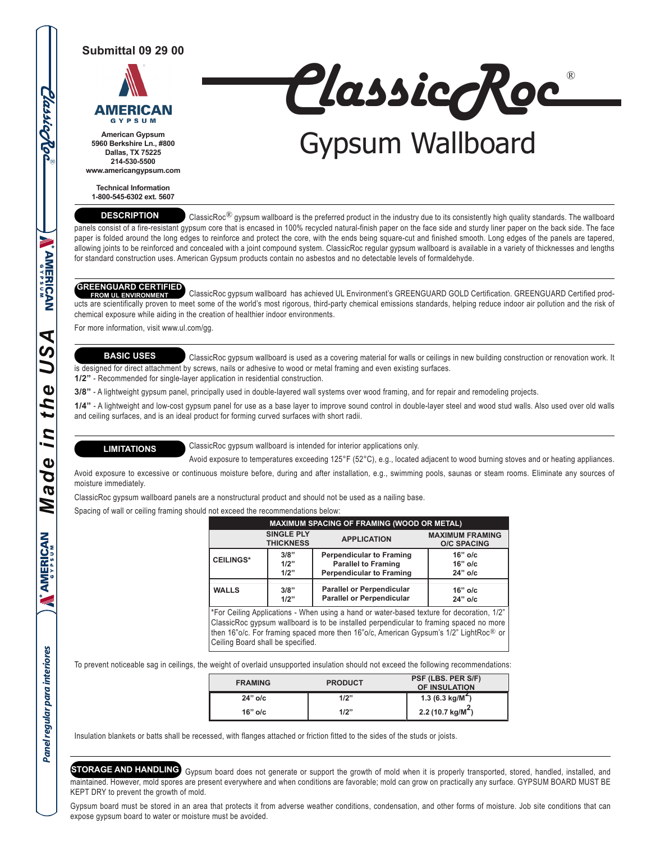# **Submittal 09 29 00**



**American Gypsum 5960 Berkshire Ln., #800 Dallas, TX 75225 214-530-5500 www.americangypsum.com** ClassicRoc ®

# Gypsum Wallboard

**Technical Information 1-800-545-6302 ext. 5607**

# **DESCRIPTION**

ClassicRoc<sup>®</sup> gypsum wallboard is the preferred product in the industry due to its consistently high quality standards. The wallboard panels consist of a fire-resistant gypsum core that is encased in 100% recycled natural-finish paper on the face side and sturdy liner paper on the back side. The face paper is folded around the long edges to reinforce and protect the core, with the ends being square-cut and finished smooth. Long edges of the panels are tapered, allowing joints to be reinforced and concealed with a joint compound system. ClassicRoc regular gypsum wallboard is available in a variety of thicknesses and lengths for standard construction uses. American Gypsum products contain no asbestos and no detectable levels of formaldehyde.

 ClassicRoc gypsum wallboard has achieved UL Environment's GREENGUARD GOLD Certification. GREENGUARD Certified prod-**GREENGUARD CERTIFIED FROM UL ENVIRONMENT** ucts are scientifically proven to meet some of the world's most rigorous, third-party chemical emissions standards, helping reduce indoor air pollution and the risk of chemical exposure while aiding in the creation of healthier indoor environments.

For more information, visit www.ul.com/gg.

# **BASIC USES**

 ClassicRoc gypsum wallboard is used as a covering material for walls or ceilings in new building construction or renovation work. It is designed for direct attachment by screws, nails or adhesive to wood or metal framing and even existing surfaces.

**1/2"** - Recommended for single-layer application in residential construction.

**3/8"** - A lightweight gypsum panel, principally used in double-layered wall systems over wood framing, and for repair and remodeling projects.

**1/4"** - A lightweight and low-cost gypsum panel for use as a base layer to improve sound control in double-layer steel and wood stud walls. Also used over old walls and ceiling surfaces, and is an ideal product for forming curved surfaces with short radii.

## **LIMITATIONS**

ClassicRoc gypsum wallboard is intended for interior applications only.

Avoid exposure to temperatures exceeding 125°F (52°C), e.g., located adjacent to wood burning stoves and or heating appliances.

Avoid exposure to excessive or continuous moisture before, during and after installation, e.g., swimming pools, saunas or steam rooms. Eliminate any sources of moisture immediately.

ClassicRoc gypsum wallboard panels are a nonstructural product and should not be used as a nailing base.

Spacing of wall or ceiling framing should not exceed the recommendations below:

| <b>MAXIMUM SPACING OF FRAMING (WOOD OR METAL)</b>                                                                                                                                            |                                       |                                                                                                  |                                              |  |  |  |  |
|----------------------------------------------------------------------------------------------------------------------------------------------------------------------------------------------|---------------------------------------|--------------------------------------------------------------------------------------------------|----------------------------------------------|--|--|--|--|
|                                                                                                                                                                                              | <b>SINGLE PLY</b><br><b>THICKNESS</b> | <b>APPLICATION</b>                                                                               | <b>MAXIMUM FRAMING</b><br><b>O/C SPACING</b> |  |  |  |  |
| <b>CEILINGS*</b>                                                                                                                                                                             | 3/8"<br>1/2"<br>1/2"                  | <b>Perpendicular to Framing</b><br><b>Parallel to Framing</b><br><b>Perpendicular to Framing</b> | $16"$ o/c<br>$16"$ o/c<br>$24"$ o/c          |  |  |  |  |
| <b>WALLS</b>                                                                                                                                                                                 | 3/8"<br>1/2"                          | <b>Parallel or Perpendicular</b><br><b>Parallel or Perpendicular</b>                             | $16"$ o/c<br>$24"$ o/c                       |  |  |  |  |
| *For Ceiling Applications - When using a hand or water-based texture for decoration, 1/2"<br>Olasata Dalam ang ang malilagang tanta kantang pagkanang aktivitis ng Langsang ang ang pag-aang |                                       |                                                                                                  |                                              |  |  |  |  |

ClassicRoc gypsum wallboard is to be installed perpendicular to framing spaced no more then 16"o/c. For framing spaced more then 16"o/c, American Gypsum's 1/2" LightRoc® or Ceiling Board shall be specified.

To prevent noticeable sag in ceilings, the weight of overlaid unsupported insulation should not exceed the following recommendations:

| <b>FRAMING</b> | <b>PRODUCT</b> | PSF (LBS. PER S/F)<br>OF INSULATION          |
|----------------|----------------|----------------------------------------------|
| $24"$ o/c      | 1/2"           | 1.3 (6.3 kg/M <sup><math>\sim</math></sup> ) |
| $16"$ o/c      | 1/2"           | 2.2 (10.7 kg/M <sup>2</sup> )                |

Insulation blankets or batts shall be recessed, with flanges attached or friction fitted to the sides of the studs or joists.

STORAGE AND HANDLING) Gypsum board does not generate or support the growth of mold when it is properly transported, stored, handled, installed, and maintained. However, mold spores are present everywhere and when conditions are favorable; mold can grow on practically any surface. GYPSUM BOARD MUST BE KEPT DRY to prevent the growth of mold.

Gypsum board must be stored in an area that protects it from adverse weather conditions, condensation, and other forms of moisture. Job site conditions that can expose gypsum board to water or moisture must be avoided.

**Classicrac** *Panel regular para interiores* **IN ENGLISHED OF ALL OF A DISTANDING STATE DISTAND WE DISTAND WE DISTAND WE DISTAND MANAGERY ASSESSMENT CONTINUES. NAMERICAN** *A Made in the US* the i n de  $\boldsymbol{\sigma}$ Z **AMERICAN** R

Panel regular para interiores